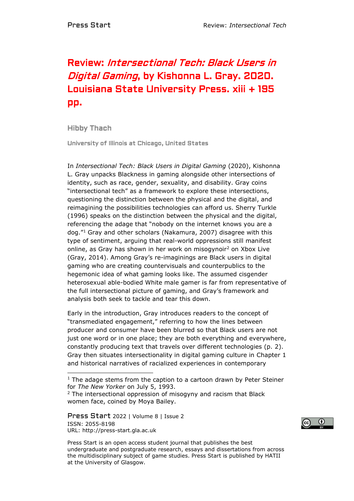## Review: Intersectional Tech: Black Users in Digital Gaming, by Kishonna L. Gray. 2020. Louisiana State University Press. xiii + 195 pp.

Hibby Thach

University of Illinois at Chicago, United States

In *Intersectional Tech: Black Users in Digital Gaming* (2020), Kishonna L. Gray unpacks Blackness in gaming alongside other intersections of identity, such as race, gender, sexuality, and disability. Gray coins "intersectional tech" as a framework to explore these intersections, questioning the distinction between the physical and the digital, and reimagining the possibilities technologies can afford us. Sherry Turkle (1996) speaks on the distinction between the physical and the digital, referencing the adage that "nobody on the internet knows you are a dog."<sup>1</sup> Gray and other scholars (Nakamura, 2007) disagree with this type of sentiment, arguing that real-world oppressions still manifest online, as Gray has shown in her work on misogynoir<sup>2</sup> on Xbox Live (Gray, 2014). Among Gray's re-imaginings are Black users in digital gaming who are creating countervisuals and counterpublics to the hegemonic idea of what gaming looks like. The assumed cisgender heterosexual able-bodied White male gamer is far from representative of the full intersectional picture of gaming, and Gray's framework and analysis both seek to tackle and tear this down.

Early in the introduction, Gray introduces readers to the concept of "transmediated engagement," referring to how the lines between producer and consumer have been blurred so that Black users are not just one word or in one place; they are both everything and everywhere, constantly producing text that travels over different technologies (p. 2). Gray then situates intersectionality in digital gaming culture in Chapter 1 and historical narratives of racialized experiences in contemporary

Press Start 2022 | Volume 8 | Issue 2 ISSN: 2055-8198 URL: http://press-start.gla.ac.uk



Press Start is an open access student journal that publishes the best undergraduate and postgraduate research, essays and dissertations from across the multidisciplinary subject of game studies. Press Start is published by HATII at the University of Glasgow.

 $1$  The adage stems from the caption to a cartoon drawn by Peter Steiner for *The New Yorker* on July 5, 1993.

 $2$  The intersectional oppression of misogyny and racism that Black women face, coined by Moya Bailey.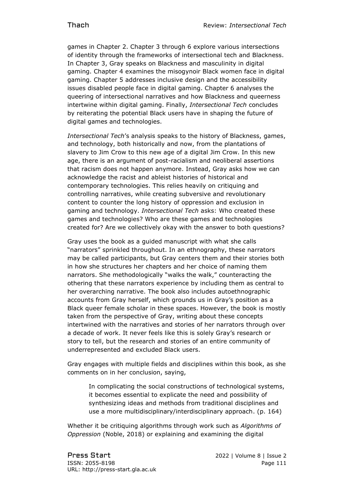games in Chapter 2. Chapter 3 through 6 explore various intersections of identity through the frameworks of intersectional tech and Blackness. In Chapter 3, Gray speaks on Blackness and masculinity in digital gaming. Chapter 4 examines the misogynoir Black women face in digital gaming. Chapter 5 addresses inclusive design and the accessibility issues disabled people face in digital gaming. Chapter 6 analyses the queering of intersectional narratives and how Blackness and queerness intertwine within digital gaming. Finally, *Intersectional Tech* concludes by reiterating the potential Black users have in shaping the future of digital games and technologies.

*Intersectional Tech*'s analysis speaks to the history of Blackness, games, and technology, both historically and now, from the plantations of slavery to Jim Crow to this new age of a digital Jim Crow. In this new age, there is an argument of post-racialism and neoliberal assertions that racism does not happen anymore. Instead, Gray asks how we can acknowledge the racist and ableist histories of historical and contemporary technologies. This relies heavily on critiquing and controlling narratives, while creating subversive and revolutionary content to counter the long history of oppression and exclusion in gaming and technology. *Intersectional Tech* asks: Who created these games and technologies? Who are these games and technologies created for? Are we collectively okay with the answer to both questions?

Gray uses the book as a guided manuscript with what she calls "narrators" sprinkled throughout. In an ethnography, these narrators may be called participants, but Gray centers them and their stories both in how she structures her chapters and her choice of naming them narrators. She methodologically "walks the walk," counteracting the othering that these narrators experience by including them as central to her overarching narrative. The book also includes autoethnographic accounts from Gray herself, which grounds us in Gray's position as a Black queer female scholar in these spaces. However, the book is mostly taken from the perspective of Gray, writing about these concepts intertwined with the narratives and stories of her narrators through over a decade of work. It never feels like this is solely Gray's research or story to tell, but the research and stories of an entire community of underrepresented and excluded Black users.

Gray engages with multiple fields and disciplines within this book, as she comments on in her conclusion, saying,

In complicating the social constructions of technological systems, it becomes essential to explicate the need and possibility of synthesizing ideas and methods from traditional disciplines and use a more multidisciplinary/interdisciplinary approach. (p. 164)

Whether it be critiquing algorithms through work such as *Algorithms of Oppression* (Noble, 2018) or explaining and examining the digital

Press Start 2022 | Volume 8 | Issue 2 ISSN: 2055-8198 Page 111 URL: http://press-start.gla.ac.uk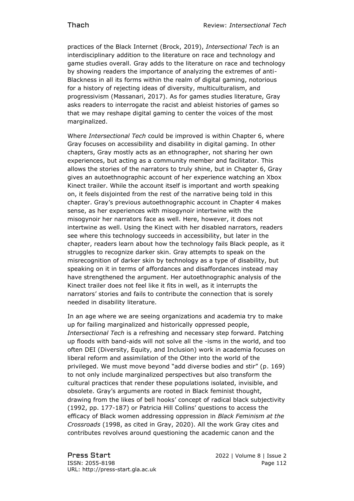practices of the Black Internet (Brock, 2019), *Intersectional Tech* is an interdisciplinary addition to the literature on race and technology and game studies overall. Gray adds to the literature on race and technology by showing readers the importance of analyzing the extremes of anti-Blackness in all its forms within the realm of digital gaming, notorious for a history of rejecting ideas of diversity, multiculturalism, and progressivism (Massanari, 2017). As for games studies literature, Gray asks readers to interrogate the racist and ableist histories of games so that we may reshape digital gaming to center the voices of the most marginalized.

Where *Intersectional Tech* could be improved is within Chapter 6, where Gray focuses on accessibility and disability in digital gaming. In other chapters, Gray mostly acts as an ethnographer, not sharing her own experiences, but acting as a community member and facilitator. This allows the stories of the narrators to truly shine, but in Chapter 6, Gray gives an autoethnographic account of her experience watching an Xbox Kinect trailer. While the account itself is important and worth speaking on, it feels disjointed from the rest of the narrative being told in this chapter. Gray's previous autoethnographic account in Chapter 4 makes sense, as her experiences with misogynoir intertwine with the misogynoir her narrators face as well. Here, however, it does not intertwine as well. Using the Kinect with her disabled narrators, readers see where this technology succeeds in accessibility, but later in the chapter, readers learn about how the technology fails Black people, as it struggles to recognize darker skin. Gray attempts to speak on the misrecognition of darker skin by technology as a type of disability, but speaking on it in terms of affordances and disaffordances instead may have strengthened the argument. Her autoethnographic analysis of the Kinect trailer does not feel like it fits in well, as it interrupts the narrators' stories and fails to contribute the connection that is sorely needed in disability literature.

In an age where we are seeing organizations and academia try to make up for failing marginalized and historically oppressed people, *Intersectional Tech* is a refreshing and necessary step forward. Patching up floods with band-aids will not solve all the -isms in the world, and too often DEI (Diversity, Equity, and Inclusion) work in academia focuses on liberal reform and assimilation of the Other into the world of the privileged. We must move beyond "add diverse bodies and stir" (p. 169) to not only include marginalized perspectives but also transform the cultural practices that render these populations isolated, invisible, and obsolete. Gray's arguments are rooted in Black feminist thought, drawing from the likes of bell hooks' concept of radical black subjectivity (1992, pp. 177-187) or Patricia Hill Collins' questions to access the efficacy of Black women addressing oppression in *Black Feminism at the Crossroads* (1998, as cited in Gray, 2020). All the work Gray cites and contributes revolves around questioning the academic canon and the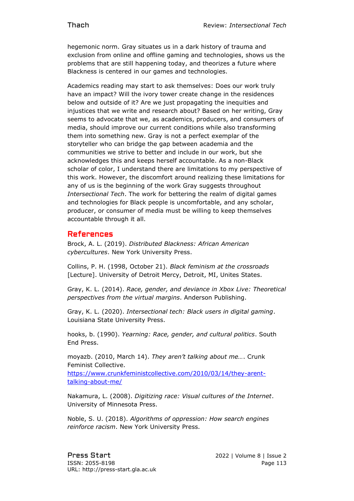hegemonic norm. Gray situates us in a dark history of trauma and exclusion from online and offline gaming and technologies, shows us the problems that are still happening today, and theorizes a future where Blackness is centered in our games and technologies.

Academics reading may start to ask themselves: Does our work truly have an impact? Will the ivory tower create change in the residences below and outside of it? Are we just propagating the inequities and injustices that we write and research about? Based on her writing, Gray seems to advocate that we, as academics, producers, and consumers of media, should improve our current conditions while also transforming them into something new. Gray is not a perfect exemplar of the storyteller who can bridge the gap between academia and the communities we strive to better and include in our work, but she acknowledges this and keeps herself accountable. As a non-Black scholar of color, I understand there are limitations to my perspective of this work. However, the discomfort around realizing these limitations for any of us is the beginning of the work Gray suggests throughout *Intersectional Tech*. The work for bettering the realm of digital games and technologies for Black people is uncomfortable, and any scholar, producer, or consumer of media must be willing to keep themselves accountable through it all.

## References

Brock, A. L. (2019). *Distributed Blackness: African American cybercultures*. New York University Press.

Collins, P. H. (1998, October 21). *Black feminism at the crossroads* [Lecture]. University of Detroit Mercy, Detroit, MI, Unites States.

Gray, K. L. (2014). *Race, gender, and deviance in Xbox Live: Theoretical perspectives from the virtual margins*. Anderson Publishing.

Gray, K. L. (2020). *Intersectional tech: Black users in digital gaming*. Louisiana State University Press.

hooks, b. (1990). *Yearning: Race, gender, and cultural politics*. South End Press.

moyazb. (2010, March 14). *They aren't talking about me…*. Crunk Feminist Collective.

[https://www.crunkfeministcollective.com/2010/03/14/they-arent](https://www.crunkfeministcollective.com/2010/03/14/they-arent-talking-about-me/)[talking-about-me/](https://www.crunkfeministcollective.com/2010/03/14/they-arent-talking-about-me/)

Nakamura, L. (2008). *Digitizing race: Visual cultures of the Internet*. University of Minnesota Press.

Noble, S. U. (2018). *Algorithms of oppression: How search engines reinforce racism*. New York University Press.